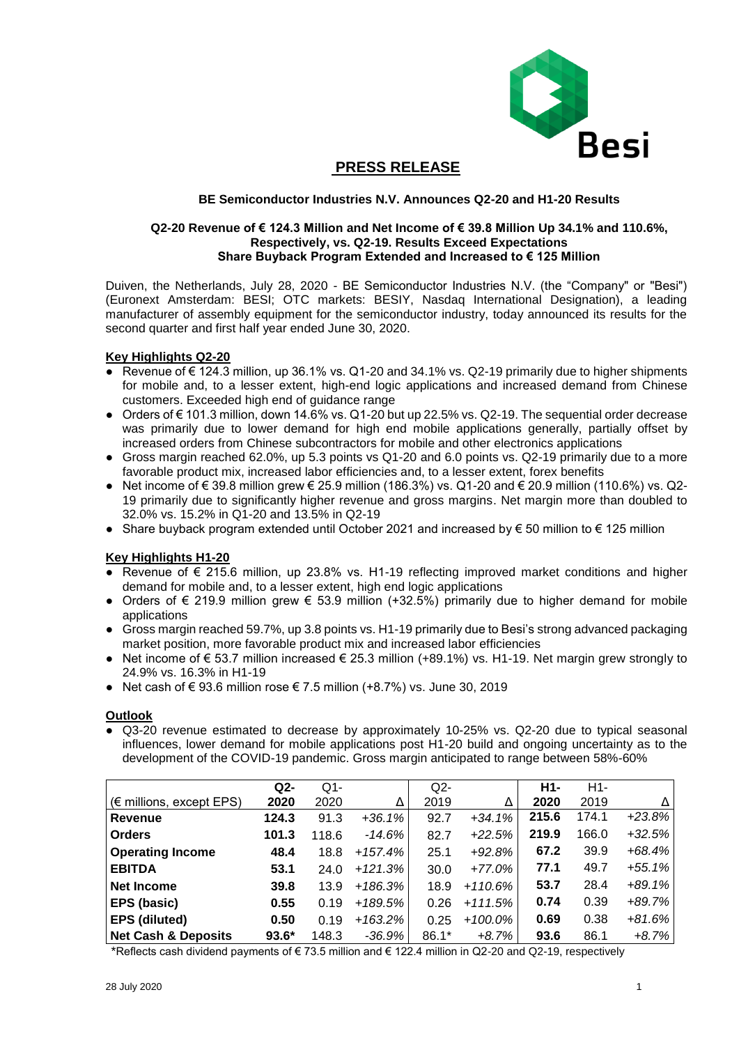

## **PRESS RELEASE**

## **BE Semiconductor Industries N.V. Announces Q2-20 and H1-20 Results**

#### **Q2-20 Revenue of € 124.3 Million and Net Income of € 39.8 Million Up 34.1% and 110.6%, Respectively, vs. Q2-19. Results Exceed Expectations Share Buyback Program Extended and Increased to € 125 Million**

Duiven, the Netherlands, July 28, 2020 - BE Semiconductor Industries N.V. (the "Company" or "Besi") (Euronext Amsterdam: BESI; OTC markets: BESIY, Nasdaq International Designation), a leading manufacturer of assembly equipment for the semiconductor industry, today announced its results for the second quarter and first half year ended June 30, 2020.

### **Key Highlights Q2-20**

- $\overline{\bullet}$  Revenue of € 124.3 million, up 36.1% vs. Q1-20 and 34.1% vs. Q2-19 primarily due to higher shipments for mobile and, to a lesser extent, high-end logic applications and increased demand from Chinese customers. Exceeded high end of guidance range
- Orders of € 101.3 million, down 14.6% vs. Q1-20 but up 22.5% vs. Q2-19. The sequential order decrease was primarily due to lower demand for high end mobile applications generally, partially offset by increased orders from Chinese subcontractors for mobile and other electronics applications
- Gross margin reached 62.0%, up 5.3 points vs Q1-20 and 6.0 points vs. Q2-19 primarily due to a more favorable product mix, increased labor efficiencies and, to a lesser extent, forex benefits
- $\bullet$  Net income of € 39.8 million grew € 25.9 million (186.3%) vs. Q1-20 and € 20.9 million (110.6%) vs. Q2-19 primarily due to significantly higher revenue and gross margins. Net margin more than doubled to 32.0% vs. 15.2% in Q1-20 and 13.5% in Q2-19
- Share buyback program extended until October 2021 and increased by € 50 million to € 125 million

## **Key Highlights H1-20**

- Revenue of € 215.6 million, up 23.8% vs. H1-19 reflecting improved market conditions and higher demand for mobile and, to a lesser extent, high end logic applications
- Orders of  $\epsilon$  219.9 million grew  $\epsilon$  53.9 million (+32.5%) primarily due to higher demand for mobile applications
- Gross margin reached 59.7%, up 3.8 points vs. H1-19 primarily due to Besi's strong advanced packaging market position, more favorable product mix and increased labor efficiencies
- Net income of € 53.7 million increased € 25.3 million (+89.1%) vs. H1-19. Net margin grew strongly to 24.9% vs. 16.3% in H1-19
- $\bullet$  Net cash of € 93.6 million rose € 7.5 million (+8.7%) vs. June 30, 2019

#### **Outlook**

● Q3-20 revenue estimated to decrease by approximately 10-25% vs. Q2-20 due to typical seasonal influences, lower demand for mobile applications post H1-20 build and ongoing uncertainty as to the development of the COVID-19 pandemic. Gross margin anticipated to range between 58%-60%

|                                         | $Q2-$   | $Q1-$ |           | Q <sub>2</sub> |            | H <sub>1</sub> - | H <sub>1</sub> - |          |
|-----------------------------------------|---------|-------|-----------|----------------|------------|------------------|------------------|----------|
| $\forall$ ( $\in$ millions, except EPS) | 2020    | 2020  | Δ         | 2019           | Δ          | 2020             | 2019             |          |
| Revenue                                 | 124.3   | 91.3  | $+36.1%$  | 92.7           | $+34.1%$   | 215.6            | 174.1            | $+23.8%$ |
| <b>Orders</b>                           | 101.3   | 118.6 | $-14.6%$  | 82.7           | $+22.5%$   | 219.9            | 166.0            | $+32.5%$ |
| <b>Operating Income</b>                 | 48.4    | 18.8  | $+157.4%$ | 25.1           | $+92.8%$   | 67.2             | 39.9             | +68.4%   |
| <b>EBITDA</b>                           | 53.1    | 24.0  | $+121.3%$ | 30.0           | $+77.0%$   | 77.1             | 49.7             | $+55.1%$ |
| <b>Net Income</b>                       | 39.8    | 13.9  | +186.3%   | 18.9           | $+110.6%$  | 53.7             | 28.4             | $+89.1%$ |
| <b>EPS (basic)</b>                      | 0.55    | 0.19  | +189.5%   | 0.26           | $+111.5%$  | 0.74             | 0.39             | +89.7%   |
| <b>EPS (diluted)</b>                    | 0.50    | 0.19  | $+163.2%$ | 0.25           | $+100.0\%$ | 0.69             | 0.38             | $+81.6%$ |
| <b>Net Cash &amp; Deposits</b>          | $93.6*$ | 148.3 | -36.9%    | $86.1*$        | +8.7%      | 93.6             | 86.1             | $+8.7%$  |

\*Reflects cash dividend payments of € 73.5 million and € 122.4 million in Q2-20 and Q2-19, respectively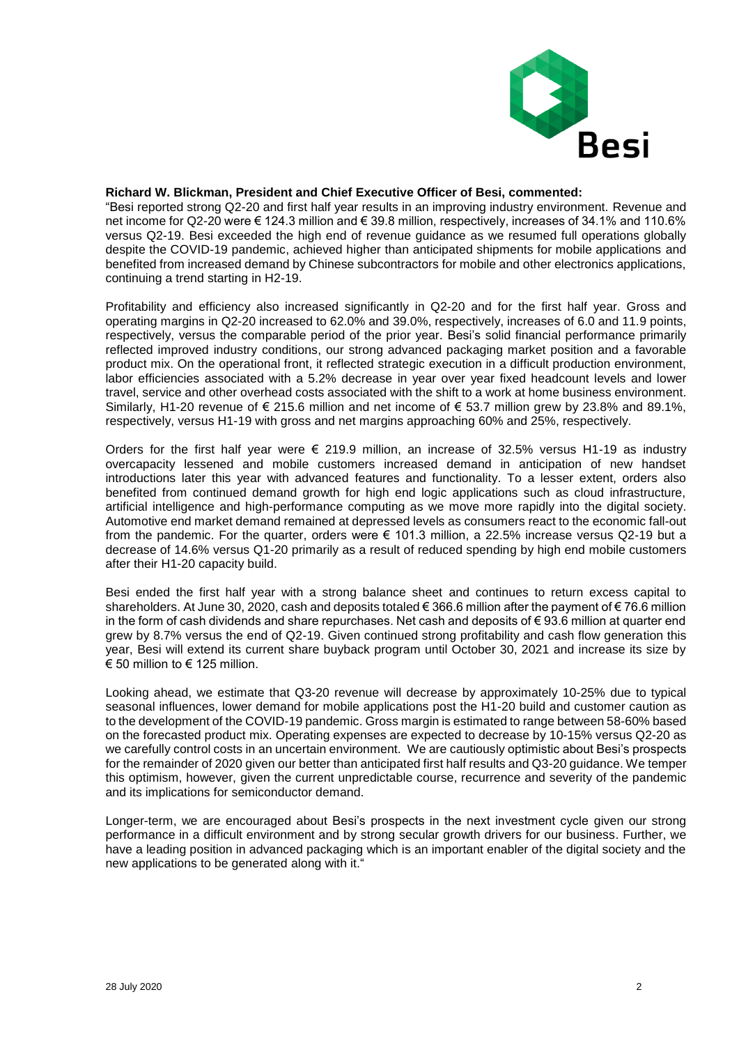

#### **Richard W. Blickman, President and Chief Executive Officer of Besi, commented:**

"Besi reported strong Q2-20 and first half year results in an improving industry environment. Revenue and net income for Q2-20 were € 124.3 million and € 39.8 million, respectively, increases of 34.1% and 110.6% versus Q2-19. Besi exceeded the high end of revenue guidance as we resumed full operations globally despite the COVID-19 pandemic, achieved higher than anticipated shipments for mobile applications and benefited from increased demand by Chinese subcontractors for mobile and other electronics applications, continuing a trend starting in H2-19.

Profitability and efficiency also increased significantly in Q2-20 and for the first half year. Gross and operating margins in Q2-20 increased to 62.0% and 39.0%, respectively, increases of 6.0 and 11.9 points, respectively, versus the comparable period of the prior year. Besi's solid financial performance primarily reflected improved industry conditions, our strong advanced packaging market position and a favorable product mix. On the operational front, it reflected strategic execution in a difficult production environment, labor efficiencies associated with a 5.2% decrease in year over year fixed headcount levels and lower travel, service and other overhead costs associated with the shift to a work at home business environment. Similarly, H1-20 revenue of  $\epsilon$  215.6 million and net income of  $\epsilon$  53.7 million grew by 23.8% and 89.1%, respectively, versus H1-19 with gross and net margins approaching 60% and 25%, respectively.

Orders for the first half year were  $\epsilon$  219.9 million, an increase of 32.5% versus H1-19 as industry overcapacity lessened and mobile customers increased demand in anticipation of new handset introductions later this year with advanced features and functionality. To a lesser extent, orders also benefited from continued demand growth for high end logic applications such as cloud infrastructure, artificial intelligence and high-performance computing as we move more rapidly into the digital society. Automotive end market demand remained at depressed levels as consumers react to the economic fall-out from the pandemic. For the quarter, orders were € 101.3 million, a 22.5% increase versus Q2-19 but a decrease of 14.6% versus Q1-20 primarily as a result of reduced spending by high end mobile customers after their H1-20 capacity build.

Besi ended the first half year with a strong balance sheet and continues to return excess capital to shareholders. At June 30, 2020, cash and deposits totaled € 366.6 million after the payment of € 76.6 million in the form of cash dividends and share repurchases. Net cash and deposits of € 93.6 million at quarter end grew by 8.7% versus the end of Q2-19. Given continued strong profitability and cash flow generation this year, Besi will extend its current share buyback program until October 30, 2021 and increase its size by  $\epsilon$  50 million to € 125 million.

Looking ahead, we estimate that Q3-20 revenue will decrease by approximately 10-25% due to typical seasonal influences, lower demand for mobile applications post the H1-20 build and customer caution as to the development of the COVID-19 pandemic. Gross margin is estimated to range between 58-60% based on the forecasted product mix. Operating expenses are expected to decrease by 10-15% versus Q2-20 as we carefully control costs in an uncertain environment. We are cautiously optimistic about Besi's prospects for the remainder of 2020 given our better than anticipated first half results and Q3-20 guidance. We temper this optimism, however, given the current unpredictable course, recurrence and severity of the pandemic and its implications for semiconductor demand.

Longer-term, we are encouraged about Besi's prospects in the next investment cycle given our strong performance in a difficult environment and by strong secular growth drivers for our business. Further, we have a leading position in advanced packaging which is an important enabler of the digital society and the new applications to be generated along with it."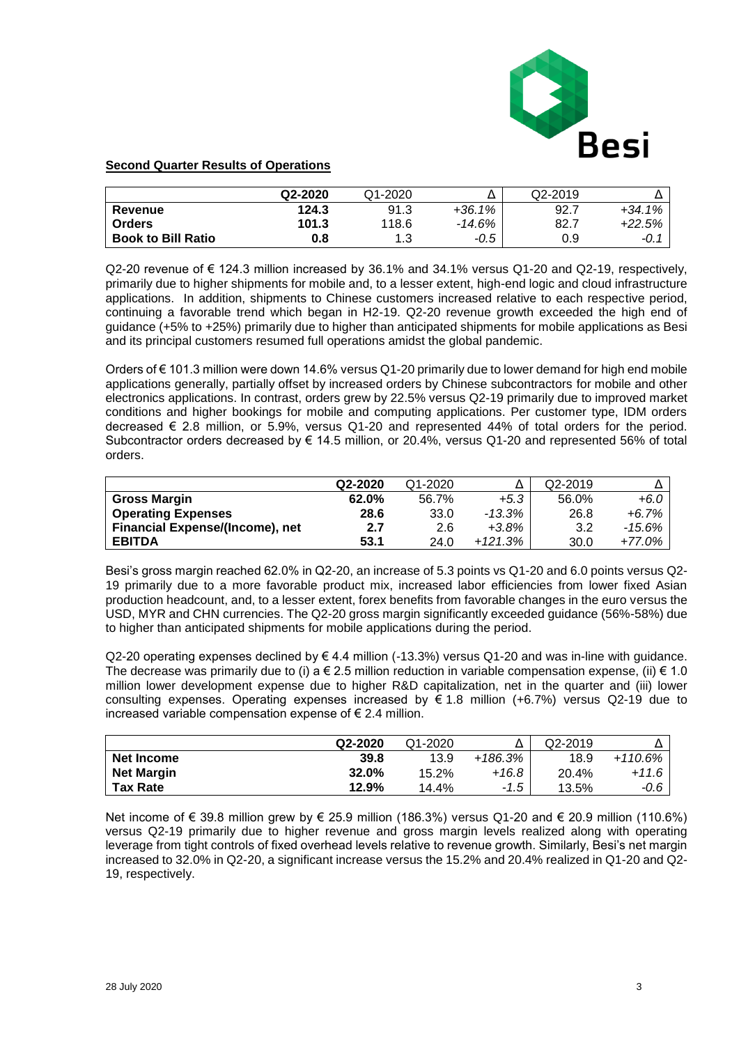

### **Second Quarter Results of Operations**

|                           | Q2-2020 | Q1-2020 |        | Q2-2019 |          |
|---------------------------|---------|---------|--------|---------|----------|
| Revenue                   | 124.3   | 91.3    | +36.1% | 92.7    | $+34.1%$ |
| <b>Orders</b>             | 101.3   | 118.6   | -14.6% | 82.7    | +22.5%   |
| <b>Book to Bill Ratio</b> | 0.8     | 1.3     | -0.5   | 0.9     | -0.1     |

Q2-20 revenue of € 124.3 million increased by 36.1% and 34.1% versus Q1-20 and Q2-19, respectively, primarily due to higher shipments for mobile and, to a lesser extent, high-end logic and cloud infrastructure applications. In addition, shipments to Chinese customers increased relative to each respective period, continuing a favorable trend which began in H2-19. Q2-20 revenue growth exceeded the high end of guidance (+5% to +25%) primarily due to higher than anticipated shipments for mobile applications as Besi and its principal customers resumed full operations amidst the global pandemic.

Orders of € 101.3 million were down 14.6% versus Q1-20 primarily due to lower demand for high end mobile applications generally, partially offset by increased orders by Chinese subcontractors for mobile and other electronics applications. In contrast, orders grew by 22.5% versus Q2-19 primarily due to improved market conditions and higher bookings for mobile and computing applications. Per customer type, IDM orders decreased € 2.8 million, or 5.9%, versus Q1-20 and represented 44% of total orders for the period. Subcontractor orders decreased by  $\epsilon$  14.5 million, or 20.4%, versus Q1-20 and represented 56% of total orders.

|                                        | Q2-2020 | $Q1 - 2020$ |           | Q2-2019 |           |
|----------------------------------------|---------|-------------|-----------|---------|-----------|
| <b>Gross Margin</b>                    | 62.0%   | 56.7%       | +5.3      | 56.0%   | $+6.0$    |
| <b>Operating Expenses</b>              | 28.6    | 33.0        | -13.3%    | 26.8    | $+6.7%$   |
| <b>Financial Expense/(Income), net</b> | 2.7     | 2.6         | +3.8%     | 3.2     | -15.6%    |
| <b>EBITDA</b>                          | 53.1    | 24.0        | $+121.3%$ | 30.0    | $+77.0\%$ |

Besi's gross margin reached 62.0% in Q2-20, an increase of 5.3 points vs Q1-20 and 6.0 points versus Q2- 19 primarily due to a more favorable product mix, increased labor efficiencies from lower fixed Asian production headcount, and, to a lesser extent, forex benefits from favorable changes in the euro versus the USD, MYR and CHN currencies. The Q2-20 gross margin significantly exceeded guidance (56%-58%) due to higher than anticipated shipments for mobile applications during the period.

Q2-20 operating expenses declined by  $\in$  4.4 million (-13.3%) versus Q1-20 and was in-line with guidance. The decrease was primarily due to (i) a  $\epsilon$  2.5 million reduction in variable compensation expense, (ii)  $\epsilon$  1.0 million lower development expense due to higher R&D capitalization, net in the quarter and (iii) lower consulting expenses. Operating expenses increased by  $\epsilon$  1.8 million (+6.7%) versus Q2-19 due to increased variable compensation expense of € 2.4 million.

|                   | Q2-2020 | $Q1 - 2020$ |         | Q2-2019 |         |
|-------------------|---------|-------------|---------|---------|---------|
| <b>Net Income</b> | 39.8    | 13.9        | +186.3% | 18.9    | +110.6% |
| <b>Net Margin</b> | 32.0%   | 15.2%       | +16.8   | 20.4%   | +11.6   |
| <b>Tax Rate</b>   | 12.9%   | 14.4%       | $-1.5$  | 13.5%   | -0.6    |

Net income of € 39.8 million grew by € 25.9 million (186.3%) versus Q1-20 and € 20.9 million (110.6%) versus Q2-19 primarily due to higher revenue and gross margin levels realized along with operating leverage from tight controls of fixed overhead levels relative to revenue growth. Similarly, Besi's net margin increased to 32.0% in Q2-20, a significant increase versus the 15.2% and 20.4% realized in Q1-20 and Q2- 19, respectively.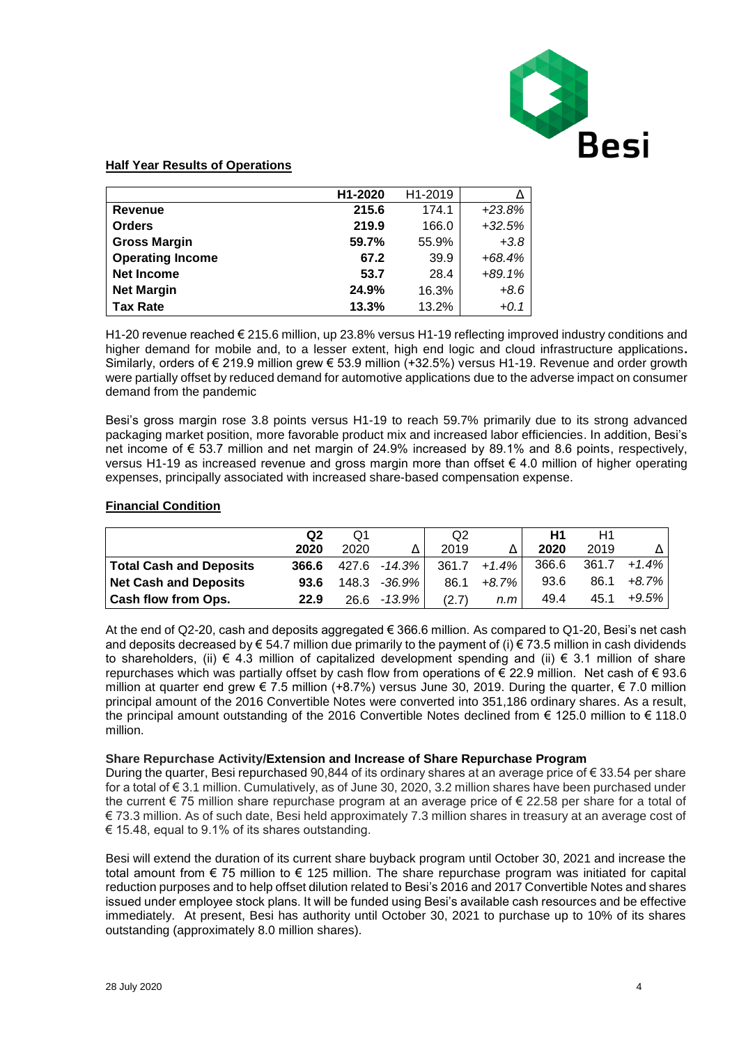

#### **Half Year Results of Operations**

|                         | H1-2020 | H1-2019 | Δ        |
|-------------------------|---------|---------|----------|
| <b>Revenue</b>          | 215.6   | 174.1   | $+23.8%$ |
| <b>Orders</b>           | 219.9   | 166.0   | $+32.5%$ |
| <b>Gross Margin</b>     | 59.7%   | 55.9%   | $+3.8$   |
| <b>Operating Income</b> | 67.2    | 39.9    | $+68.4%$ |
| <b>Net Income</b>       | 53.7    | 28.4    | $+89.1%$ |
| <b>Net Margin</b>       | 24.9%   | 16.3%   | $+8.6$   |
| <b>Tax Rate</b>         | 13.3%   | 13.2%   | $+0.1$   |

H1-20 revenue reached € 215.6 million, up 23.8% versus H1-19 reflecting improved industry conditions and higher demand for mobile and, to a lesser extent, high end logic and cloud infrastructure applications**.**  Similarly, orders of € 219.9 million grew € 53.9 million (+32.5%) versus H1-19. Revenue and order growth were partially offset by reduced demand for automotive applications due to the adverse impact on consumer demand from the pandemic

Besi's gross margin rose 3.8 points versus H1-19 to reach 59.7% primarily due to its strong advanced packaging market position, more favorable product mix and increased labor efficiencies. In addition, Besi's net income of € 53.7 million and net margin of 24.9% increased by 89.1% and 8.6 points, respectively, versus H1-19 as increased revenue and gross margin more than offset € 4.0 million of higher operating expenses, principally associated with increased share-based compensation expense.

#### **Financial Condition**

|                                | Q2    | Q1   |              | Q2    |          | H1    | H1    |          |
|--------------------------------|-------|------|--------------|-------|----------|-------|-------|----------|
|                                | 2020  | 2020 |              | 2019  |          | 2020  | 2019  | ΔΙ       |
| <b>Total Cash and Deposits</b> | 366.6 |      | 427.6 -14.3% | 361.7 | $+1.4%$  | 366.6 | 361.7 | $+1.4\%$ |
| <b>Net Cash and Deposits</b>   | 93.6  |      | 148.3 -36.9% | 86.1  | $+8.7\%$ | 93.6  | 86.1  | +8.7% l  |
| <b>Cash flow from Ops.</b>     | 22.9  | 26.6 | -13.9%       | (2.7) | n.m      | 49.4  | 45.1  | $+9.5\%$ |

At the end of Q2-20, cash and deposits aggregated € 366.6 million. As compared to Q1-20, Besi's net cash and deposits decreased by  $\epsilon$  54.7 million due primarily to the payment of (i)  $\epsilon$  73.5 million in cash dividends to shareholders, (ii) € 4.3 million of capitalized development spending and (ii) € 3.1 million of share repurchases which was partially offset by cash flow from operations of € 22.9 million. Net cash of € 93.6 million at quarter end grew € 7.5 million (+8.7%) versus June 30, 2019. During the quarter, € 7.0 million principal amount of the 2016 Convertible Notes were converted into 351,186 ordinary shares. As a result, the principal amount outstanding of the 2016 Convertible Notes declined from € 125.0 million to € 118.0 million.

#### **Share Repurchase Activity/Extension and Increase of Share Repurchase Program**

During the quarter, Besi repurchased 90,844 of its ordinary shares at an average price of € 33.54 per share for a total of € 3.1 million. Cumulatively, as of June 30, 2020, 3.2 million shares have been purchased under the current € 75 million share repurchase program at an average price of € 22.58 per share for a total of € 73.3 million. As of such date, Besi held approximately 7.3 million shares in treasury at an average cost of € 15.48, equal to 9.1% of its shares outstanding.

Besi will extend the duration of its current share buyback program until October 30, 2021 and increase the total amount from € 75 million to € 125 million. The share repurchase program was initiated for capital reduction purposes and to help offset dilution related to Besi's 2016 and 2017 Convertible Notes and shares issued under employee stock plans. It will be funded using Besi's available cash resources and be effective immediately. At present, Besi has authority until October 30, 2021 to purchase up to 10% of its shares outstanding (approximately 8.0 million shares).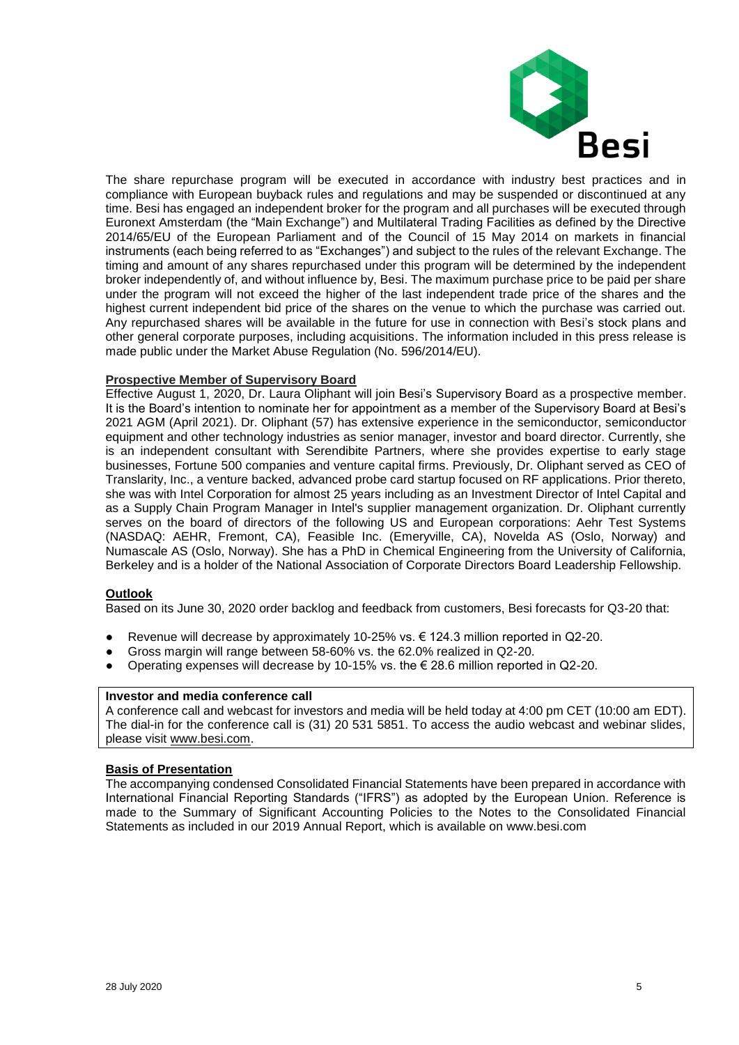

The share repurchase program will be executed in accordance with industry best practices and in compliance with European buyback rules and regulations and may be suspended or discontinued at any time. Besi has engaged an independent broker for the program and all purchases will be executed through Euronext Amsterdam (the "Main Exchange") and Multilateral Trading Facilities as defined by the Directive 2014/65/EU of the European Parliament and of the Council of 15 May 2014 on markets in financial instruments (each being referred to as "Exchanges") and subject to the rules of the relevant Exchange. The timing and amount of any shares repurchased under this program will be determined by the independent broker independently of, and without influence by, Besi. The maximum purchase price to be paid per share under the program will not exceed the higher of the last independent trade price of the shares and the highest current independent bid price of the shares on the venue to which the purchase was carried out. Any repurchased shares will be available in the future for use in connection with Besi's stock plans and other general corporate purposes, including acquisitions. The information included in this press release is made public under the Market Abuse Regulation (No. 596/2014/EU).

#### **Prospective Member of Supervisory Board**

Effective August 1, 2020, Dr. Laura Oliphant will join Besi's Supervisory Board as a prospective member. It is the Board's intention to nominate her for appointment as a member of the Supervisory Board at Besi's 2021 AGM (April 2021). Dr. Oliphant (57) has extensive experience in the semiconductor, semiconductor equipment and other technology industries as senior manager, investor and board director. Currently, she is an independent consultant with Serendibite Partners, where she provides expertise to early stage businesses, Fortune 500 companies and venture capital firms. Previously, Dr. Oliphant served as CEO of Translarity, Inc., a venture backed, advanced probe card startup focused on RF applications. Prior thereto, she was with Intel Corporation for almost 25 years including as an Investment Director of Intel Capital and as a Supply Chain Program Manager in Intel's supplier management organization. Dr. Oliphant currently serves on the board of directors of the following US and European corporations: Aehr Test Systems (NASDAQ: AEHR, Fremont, CA), Feasible Inc. (Emeryville, CA), Novelda AS (Oslo, Norway) and Numascale AS (Oslo, Norway). She has a PhD in Chemical Engineering from the University of California, Berkeley and is a holder of the National Association of Corporate Directors Board Leadership Fellowship.

#### **Outlook**

Based on its June 30, 2020 order backlog and feedback from customers, Besi forecasts for Q3-20 that:

- Revenue will decrease by approximately 10-25% vs.  $\epsilon$  124.3 million reported in Q2-20.
- Gross margin will range between 58-60% vs. the 62.0% realized in Q2-20.
- Operating expenses will decrease by 10-15% vs. the  $\epsilon$  28.6 million reported in Q2-20.

#### **Investor and media conference call**

A conference call and webcast for investors and media will be held today at 4:00 pm CET (10:00 am EDT). The dial-in for the conference call is (31) 20 531 5851. To access the audio webcast and webinar slides, please visit [www.besi.com.](http://www.besi.com/)

#### **Basis of Presentation**

The accompanying condensed Consolidated Financial Statements have been prepared in accordance with International Financial Reporting Standards ("IFRS") as adopted by the European Union. Reference is made to the Summary of Significant Accounting Policies to the Notes to the Consolidated Financial Statements as included in our 2019 Annual Report, which is available on www.besi.com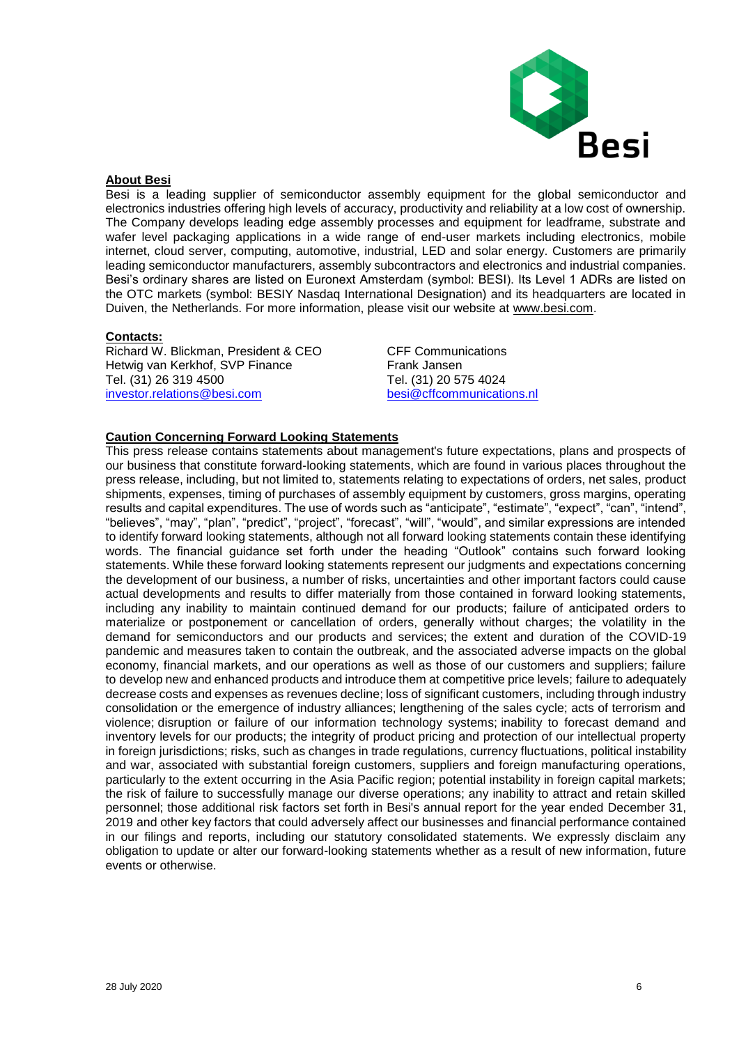

### **About Besi**

Besi is a leading supplier of semiconductor assembly equipment for the global semiconductor and electronics industries offering high levels of accuracy, productivity and reliability at a low cost of ownership. The Company develops leading edge assembly processes and equipment for leadframe, substrate and wafer level packaging applications in a wide range of end-user markets including electronics, mobile internet, cloud server, computing, automotive, industrial, LED and solar energy. Customers are primarily leading semiconductor manufacturers, assembly subcontractors and electronics and industrial companies. Besi's ordinary shares are listed on Euronext Amsterdam (symbol: BESI). Its Level 1 ADRs are listed on the OTC markets (symbol: BESIY Nasdaq International Designation) and its headquarters are located in Duiven, the Netherlands. For more information, please visit our website at [www.besi.com.](http://www.besi.com/)

#### **Contacts:**

Richard W. Blickman, President & CEO CFF Communications Hetwig van Kerkhof, SVP Finance Frank Jansen Tel. (31) 26 319 4500 Tel. (31) 20 575 4024 [investor.relations@besi.com](mailto:investor.relations@besi.com) [besi@cffcommunications.nl](mailto:besi@cffcommunications.nl)

### **Caution Concerning Forward Looking Statements**

This press release contains statements about management's future expectations, plans and prospects of our business that constitute forward-looking statements, which are found in various places throughout the press release, including, but not limited to, statements relating to expectations of orders, net sales, product shipments, expenses, timing of purchases of assembly equipment by customers, gross margins, operating results and capital expenditures. The use of words such as "anticipate", "estimate", "expect", "can", "intend", "believes", "may", "plan", "predict", "project", "forecast", "will", "would", and similar expressions are intended to identify forward looking statements, although not all forward looking statements contain these identifying words. The financial guidance set forth under the heading "Outlook" contains such forward looking statements. While these forward looking statements represent our judgments and expectations concerning the development of our business, a number of risks, uncertainties and other important factors could cause actual developments and results to differ materially from those contained in forward looking statements, including any inability to maintain continued demand for our products; failure of anticipated orders to materialize or postponement or cancellation of orders, generally without charges; the volatility in the demand for semiconductors and our products and services; the extent and duration of the COVID-19 pandemic and measures taken to contain the outbreak, and the associated adverse impacts on the global economy, financial markets, and our operations as well as those of our customers and suppliers; failure to develop new and enhanced products and introduce them at competitive price levels; failure to adequately decrease costs and expenses as revenues decline; loss of significant customers, including through industry consolidation or the emergence of industry alliances; lengthening of the sales cycle; acts of terrorism and violence; disruption or failure of our information technology systems; inability to forecast demand and inventory levels for our products; the integrity of product pricing and protection of our intellectual property in foreign jurisdictions; risks, such as changes in trade regulations, currency fluctuations, political instability and war, associated with substantial foreign customers, suppliers and foreign manufacturing operations, particularly to the extent occurring in the Asia Pacific region; potential instability in foreign capital markets; the risk of failure to successfully manage our diverse operations; any inability to attract and retain skilled personnel; those additional risk factors set forth in Besi's annual report for the year ended December 31, 2019 and other key factors that could adversely affect our businesses and financial performance contained in our filings and reports, including our statutory consolidated statements. We expressly disclaim any obligation to update or alter our forward-looking statements whether as a result of new information, future events or otherwise.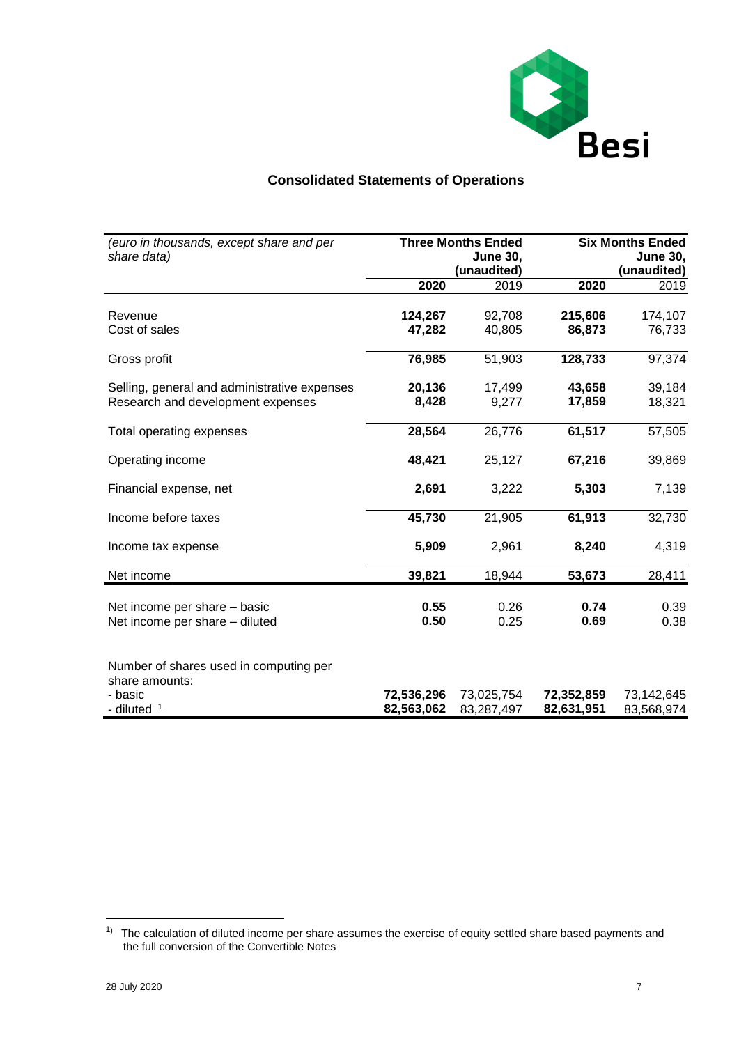

# **Consolidated Statements of Operations**

| (euro in thousands, except share and per<br>share data)                            |                          | <b>Three Months Ended</b><br><b>June 30,</b><br>(unaudited) | <b>Six Months Ended</b><br><b>June 30,</b><br>(unaudited) |                          |  |  |
|------------------------------------------------------------------------------------|--------------------------|-------------------------------------------------------------|-----------------------------------------------------------|--------------------------|--|--|
|                                                                                    | 2020                     | 2019                                                        | 2020                                                      | 2019                     |  |  |
| Revenue<br>Cost of sales                                                           | 124,267<br>47,282        | 92,708<br>40,805                                            | 215,606<br>86,873                                         | 174,107<br>76,733        |  |  |
| Gross profit                                                                       | 76,985                   | 51,903                                                      | 128,733                                                   | 97,374                   |  |  |
| Selling, general and administrative expenses<br>Research and development expenses  | 20,136<br>8,428          | 17,499<br>9,277                                             | 43,658<br>17,859                                          | 39,184<br>18,321         |  |  |
| Total operating expenses                                                           | 28,564                   | 26,776                                                      | 61,517                                                    | 57,505                   |  |  |
| Operating income                                                                   | 48,421                   | 25,127                                                      | 67,216                                                    | 39,869                   |  |  |
| Financial expense, net                                                             | 2,691                    | 3,222                                                       | 5,303                                                     | 7,139                    |  |  |
| Income before taxes                                                                | 45,730                   | 21,905                                                      | 61,913                                                    | 32,730                   |  |  |
| Income tax expense                                                                 | 5,909                    | 2,961                                                       | 8,240                                                     | 4,319                    |  |  |
| Net income                                                                         | 39,821                   | 18,944                                                      | 53,673                                                    | 28,411                   |  |  |
| Net income per share - basic<br>Net income per share - diluted                     | 0.55<br>0.50             | 0.26<br>0.25                                                | 0.74<br>0.69                                              | 0.39<br>0.38             |  |  |
| Number of shares used in computing per<br>share amounts:<br>- basic<br>- diluted 1 | 72,536,296<br>82,563,062 | 73,025,754<br>83,287,497                                    | 72,352,859<br>82,631,951                                  | 73,142,645<br>83,568,974 |  |  |

-

 $1)$  The calculation of diluted income per share assumes the exercise of equity settled share based payments and the full conversion of the Convertible Notes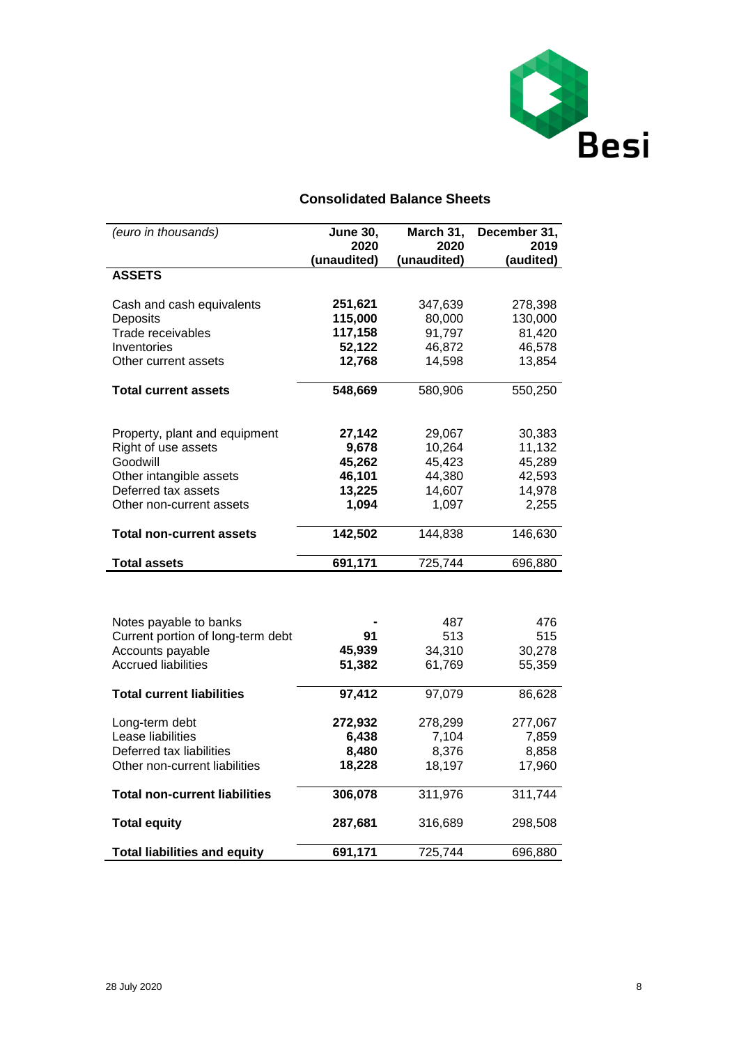

## **Consolidated Balance Sheets**

| (euro in thousands)                  | <b>June 30,</b><br>2020 | March 31,<br>2020 | December 31,<br>2019 |
|--------------------------------------|-------------------------|-------------------|----------------------|
| <b>ASSETS</b>                        | (unaudited)             | (unaudited)       | (audited)            |
|                                      |                         |                   |                      |
| Cash and cash equivalents            | 251,621                 | 347,639           | 278,398              |
| Deposits                             | 115,000                 | 80,000            | 130,000              |
| Trade receivables                    | 117,158                 | 91,797            | 81,420               |
| Inventories                          | 52,122                  | 46,872            | 46,578               |
| Other current assets                 | 12,768                  | 14,598            | 13,854               |
| <b>Total current assets</b>          | 548,669                 | 580,906           | 550,250              |
|                                      |                         |                   |                      |
| Property, plant and equipment        | 27,142<br>9,678         | 29,067<br>10,264  | 30,383<br>11,132     |
| Right of use assets<br>Goodwill      | 45,262                  | 45,423            | 45,289               |
| Other intangible assets              | 46,101                  | 44,380            | 42,593               |
| Deferred tax assets                  | 13,225                  | 14,607            | 14,978               |
| Other non-current assets             | 1,094                   | 1,097             | 2,255                |
| <b>Total non-current assets</b>      | 142,502                 | 144,838           | 146,630              |
| Total assets                         | 691,171                 | 725,744           | 696,880              |
|                                      |                         |                   |                      |
| Notes payable to banks               |                         | 487               | 476                  |
| Current portion of long-term debt    | 91                      | 513               | 515                  |
| Accounts payable                     | 45,939                  | 34,310            | 30,278               |
| <b>Accrued liabilities</b>           | 51,382                  | 61,769            | 55,359               |
| <b>Total current liabilities</b>     | 97,412                  | 97,079            | 86,628               |
| Long-term debt                       | 272,932                 | 278,299           | 277,067              |
| Lease liabilities                    | 6,438                   | 7,104             | 7,859                |
| Deferred tax liabilities             | 8,480                   | 8,376             | 8,858                |
| Other non-current liabilities        | 18,228                  | 18,197            | 17,960               |
| <b>Total non-current liabilities</b> | 306,078                 | 311,976           | 311,744              |
| <b>Total equity</b>                  | 287,681                 | 316,689           | 298,508              |
| <b>Total liabilities and equity</b>  | 691,171                 | 725,744           | 696,880              |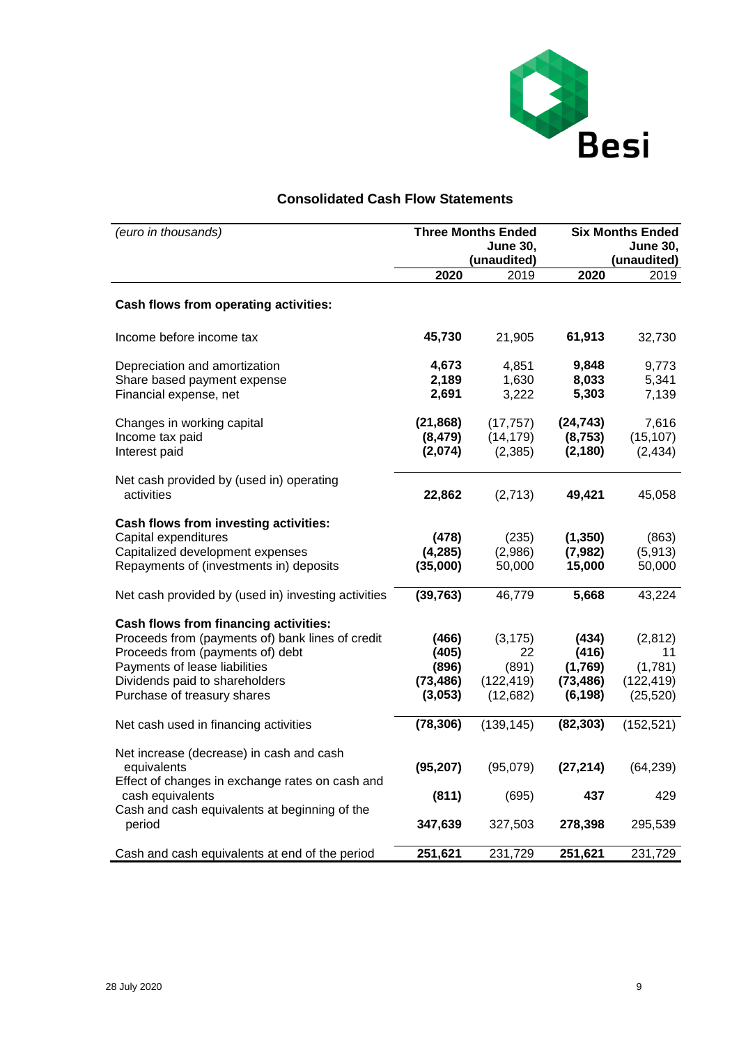

| (euro in thousands)                                                 |           | <b>Three Months Ended</b><br><b>June 30,</b><br>(unaudited) | <b>Six Months Ended</b><br><b>June 30,</b><br>(unaudited) |            |  |  |
|---------------------------------------------------------------------|-----------|-------------------------------------------------------------|-----------------------------------------------------------|------------|--|--|
|                                                                     | 2020      | 2019                                                        | 2020                                                      | 2019       |  |  |
| Cash flows from operating activities:                               |           |                                                             |                                                           |            |  |  |
| Income before income tax                                            | 45,730    | 21,905                                                      | 61,913                                                    | 32,730     |  |  |
| Depreciation and amortization                                       | 4,673     | 4,851                                                       | 9,848                                                     | 9,773      |  |  |
| Share based payment expense                                         | 2,189     | 1,630                                                       | 8,033                                                     | 5,341      |  |  |
| Financial expense, net                                              | 2,691     | 3,222                                                       | 5,303                                                     | 7,139      |  |  |
| Changes in working capital                                          | (21, 868) | (17, 757)                                                   | (24, 743)                                                 | 7,616      |  |  |
| Income tax paid                                                     | (8, 479)  | (14, 179)                                                   | (8, 753)                                                  | (15, 107)  |  |  |
| Interest paid                                                       | (2,074)   | (2, 385)                                                    | (2, 180)                                                  | (2, 434)   |  |  |
| Net cash provided by (used in) operating                            |           |                                                             |                                                           |            |  |  |
| activities                                                          | 22,862    | (2,713)                                                     | 49,421                                                    | 45,058     |  |  |
| Cash flows from investing activities:                               |           |                                                             |                                                           |            |  |  |
| Capital expenditures                                                | (478)     | (235)                                                       | (1, 350)                                                  | (863)      |  |  |
| Capitalized development expenses                                    | (4, 285)  | (2,986)                                                     | (7,982)                                                   | (5,913)    |  |  |
| Repayments of (investments in) deposits                             | (35,000)  | 50,000                                                      | 15,000                                                    | 50,000     |  |  |
| Net cash provided by (used in) investing activities                 | (39, 763) | 46,779                                                      | 5,668                                                     | 43,224     |  |  |
| Cash flows from financing activities:                               |           |                                                             |                                                           |            |  |  |
| Proceeds from (payments of) bank lines of credit                    | (466)     | (3, 175)                                                    | (434)                                                     | (2, 812)   |  |  |
| Proceeds from (payments of) debt                                    | (405)     | 22                                                          | (416)                                                     | 11         |  |  |
| Payments of lease liabilities                                       | (896)     | (891)                                                       | (1,769)                                                   | (1,781)    |  |  |
| Dividends paid to shareholders                                      | (73, 486) | (122, 419)                                                  | (73, 486)                                                 | (122, 419) |  |  |
| Purchase of treasury shares                                         | (3,053)   | (12,682)                                                    | (6, 198)                                                  | (25, 520)  |  |  |
| Net cash used in financing activities                               | (78, 306) | (139, 145)                                                  | (82, 303)                                                 | (152, 521) |  |  |
| Net increase (decrease) in cash and cash                            |           |                                                             |                                                           |            |  |  |
| equivalents                                                         | (95, 207) | (95,079)                                                    | (27, 214)                                                 | (64, 239)  |  |  |
| Effect of changes in exchange rates on cash and<br>cash equivalents | (811)     | (695)                                                       | 437                                                       | 429        |  |  |
| Cash and cash equivalents at beginning of the                       |           |                                                             |                                                           |            |  |  |
| period                                                              | 347,639   | 327,503                                                     | 278,398                                                   | 295,539    |  |  |
| Cash and cash equivalents at end of the period                      | 251,621   | 231,729                                                     | 251,621                                                   | 231,729    |  |  |

## **Consolidated Cash Flow Statements**